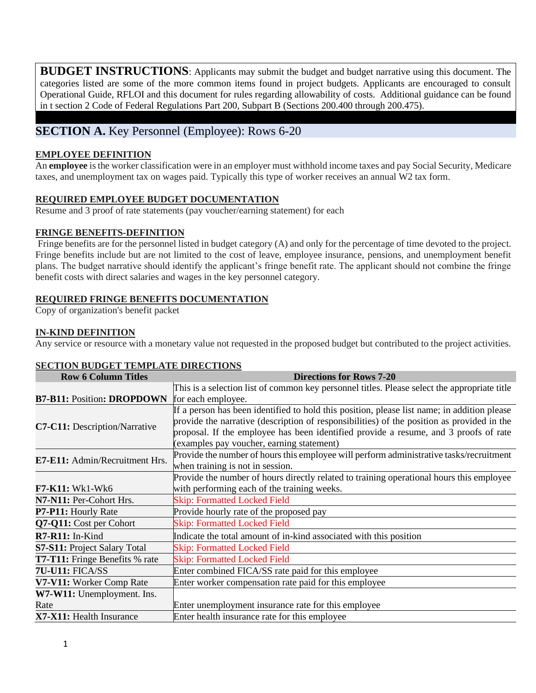**BUDGET INSTRUCTIONS**: Applicants may submit the budget and budget narrative using this document. The categories listed are some of the more common items found in project budgets. Applicants are encouraged to consult Operational Guide, RFLOI and this document for rules regarding allowability of costs. Additional guidance can be found in t section 2 Code of Federal Regulations Part 200, Subpart B (Sections 200.400 through 200.475).

# **SECTION A.** Key Personnel (Employee): Rows 6-20

### **EMPLOYEE DEFINITION**

An **employee** is the worker classification were in an employer must withhold income taxes and pay Social Security, Medicare taxes, and unemployment tax on wages paid. Typically this type of worker receives an annual W2 tax form.

## **REQUIRED EMPLOYEE BUDGET DOCUMENTATION**

Resume and 3 proof of rate statements (pay voucher/earning statement) for each

## **FRINGE BENEFITS-DEFINITION**

Fringe benefits are for the personnel listed in budget category (A) and only for the percentage of time devoted to the project. Fringe benefits include but are not limited to the cost of leave, employee insurance, pensions, and unemployment benefit plans. The budget narrative should identify the applicant's fringe benefit rate. The applicant should not combine the fringe benefit costs with direct salaries and wages in the key personnel category.

## **REQUIRED FRINGE BENEFITS DOCUMENTATION**

Copy of organization's benefit packet

## **IN-KIND DEFINITION**

Any service or resource with a monetary value not requested in the proposed budget but contributed to the project activities.

# **SECTION BUDGET TEMPLATE DIRECTIONS**

| <b>Row 6 Column Titles</b>            | <b>Directions for Rows 7-20</b>                                                              |  |  |  |  |  |  |
|---------------------------------------|----------------------------------------------------------------------------------------------|--|--|--|--|--|--|
|                                       | This is a selection list of common key personnel titles. Please select the appropriate title |  |  |  |  |  |  |
| <b>B7-B11: Position: DROPDOWN</b>     | for each employee.                                                                           |  |  |  |  |  |  |
|                                       | If a person has been identified to hold this position, please list name; in addition please  |  |  |  |  |  |  |
|                                       | provide the narrative (description of responsibilities) of the position as provided in the   |  |  |  |  |  |  |
| C7-C11: Description/Narrative         | proposal. If the employee has been identified provide a resume, and 3 proofs of rate         |  |  |  |  |  |  |
|                                       | (examples pay voucher, earning statement)                                                    |  |  |  |  |  |  |
| E7-E11: Admin/Recruitment Hrs.        | Provide the number of hours this employee will perform administrative tasks/recruitment      |  |  |  |  |  |  |
|                                       | when training is not in session.                                                             |  |  |  |  |  |  |
|                                       | Provide the number of hours directly related to training operational hours this employee     |  |  |  |  |  |  |
| <b>F7-K11: Wk1-Wk6</b>                | with performing each of the training weeks.                                                  |  |  |  |  |  |  |
| N7-N11: Per-Cohort Hrs.               | <b>Skip: Formatted Locked Field</b>                                                          |  |  |  |  |  |  |
| P7-P11: Hourly Rate                   | Provide hourly rate of the proposed pay                                                      |  |  |  |  |  |  |
| Q7-Q11: Cost per Cohort               | <b>Skip: Formatted Locked Field</b>                                                          |  |  |  |  |  |  |
| $R7 - R11$ : In-Kind                  | Indicate the total amount of in-kind associated with this position                           |  |  |  |  |  |  |
| <b>S7-S11:</b> Project Salary Total   | <b>Skip: Formatted Locked Field</b>                                                          |  |  |  |  |  |  |
| <b>T7-T11:</b> Fringe Benefits % rate | <b>Skip: Formatted Locked Field</b>                                                          |  |  |  |  |  |  |
| 7U-U11: FICA/SS                       | Enter combined FICA/SS rate paid for this employee                                           |  |  |  |  |  |  |
| V7-V11: Worker Comp Rate              | Enter worker compensation rate paid for this employee                                        |  |  |  |  |  |  |
| W7-W11: Unemployment. Ins.            |                                                                                              |  |  |  |  |  |  |
| Rate                                  | Enter unemployment insurance rate for this employee                                          |  |  |  |  |  |  |
| X7-X11: Health Insurance              | Enter health insurance rate for this employee                                                |  |  |  |  |  |  |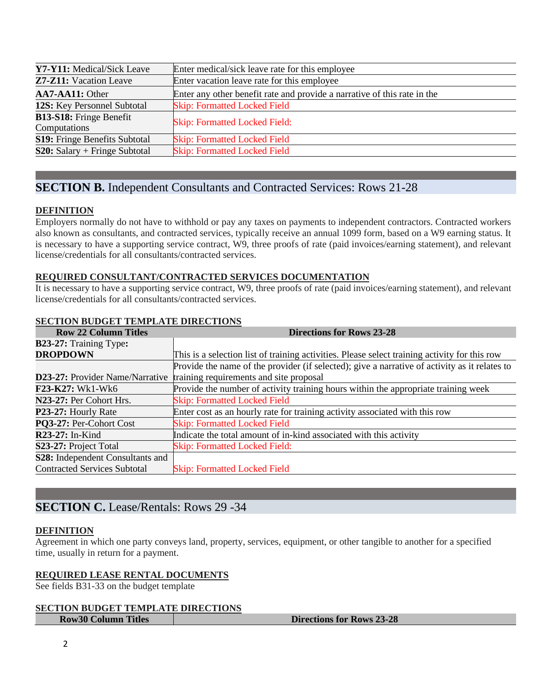| <b>Y7-Y11:</b> Medical/Sick Leave    | Enter medical/sick leave rate for this employee                          |  |  |  |  |
|--------------------------------------|--------------------------------------------------------------------------|--|--|--|--|
| <b>Z7-Z11:</b> Vacation Leave        | Enter vacation leave rate for this employee                              |  |  |  |  |
| AA7-AA11: Other                      | Enter any other benefit rate and provide a narrative of this rate in the |  |  |  |  |
| <b>12S:</b> Key Personnel Subtotal   | <b>Skip: Formatted Locked Field</b>                                      |  |  |  |  |
| <b>B13-S18:</b> Fringe Benefit       |                                                                          |  |  |  |  |
| Computations                         | <b>Skip: Formatted Locked Field:</b>                                     |  |  |  |  |
| <b>S19:</b> Fringe Benefits Subtotal | <b>Skip: Formatted Locked Field</b>                                      |  |  |  |  |
| $S20:$ Salary + Fringe Subtotal      | <b>Skip: Formatted Locked Field</b>                                      |  |  |  |  |

# **SECTION B.** Independent Consultants and Contracted Services: Rows 21-28

### **DEFINITION**

Employers normally do not have to withhold or pay any taxes on payments to independent contractors. Contracted workers also known as consultants, and contracted services, typically receive an annual 1099 form, based on a W9 earning status. It is necessary to have a supporting service contract, W9, three proofs of rate (paid invoices/earning statement), and relevant license/credentials for all consultants/contracted services.

### **REQUIRED CONSULTANT/CONTRACTED SERVICES DOCUMENTATION**

It is necessary to have a supporting service contract, W9, three proofs of rate (paid invoices/earning statement), and relevant license/credentials for all consultants/contracted services.

## **SECTION BUDGET TEMPLATE DIRECTIONS**

| <b>Row 22 Column Titles</b>         | <b>Directions for Rows 23-28</b>                                                              |  |  |  |  |  |  |  |
|-------------------------------------|-----------------------------------------------------------------------------------------------|--|--|--|--|--|--|--|
| <b>B23-27:</b> Training Type:       |                                                                                               |  |  |  |  |  |  |  |
| <b>DROPDOWN</b>                     | This is a selection list of training activities. Please select training activity for this row |  |  |  |  |  |  |  |
|                                     | Provide the name of the provider (if selected); give a narrative of activity as it relates to |  |  |  |  |  |  |  |
|                                     | <b>D23-27:</b> Provider Name/Narrative training requirements and site proposal                |  |  |  |  |  |  |  |
| <b>F23-K27: Wk1-Wk6</b>             | Provide the number of activity training hours within the appropriate training week            |  |  |  |  |  |  |  |
| N23-27: Per Cohort Hrs.             | <b>Skip: Formatted Locked Field</b>                                                           |  |  |  |  |  |  |  |
| P23-27: Hourly Rate                 | Enter cost as an hourly rate for training activity associated with this row                   |  |  |  |  |  |  |  |
| PQ3-27: Per-Cohort Cost             | <b>Skip: Formatted Locked Field</b>                                                           |  |  |  |  |  |  |  |
| $R23-27$ : In-Kind                  | Indicate the total amount of in-kind associated with this activity                            |  |  |  |  |  |  |  |
| S23-27: Project Total               | <b>Skip: Formatted Locked Field:</b>                                                          |  |  |  |  |  |  |  |
| S28: Independent Consultants and    |                                                                                               |  |  |  |  |  |  |  |
| <b>Contracted Services Subtotal</b> | <b>Skip: Formatted Locked Field</b>                                                           |  |  |  |  |  |  |  |

# **SECTION C.** Lease/Rentals: Rows 29 -34

### **DEFINITION**

Agreement in which one party conveys land, property, services, equipment, or other tangible to another for a specified time, usually in return for a payment.

### **REQUIRED LEASE RENTAL DOCUMENTS**

See fields B31-33 on the budget template

#### **SECTION BUDGET TEMPLATE DIRECTIONS Row30 Column Titles Directions for Rows 23-28**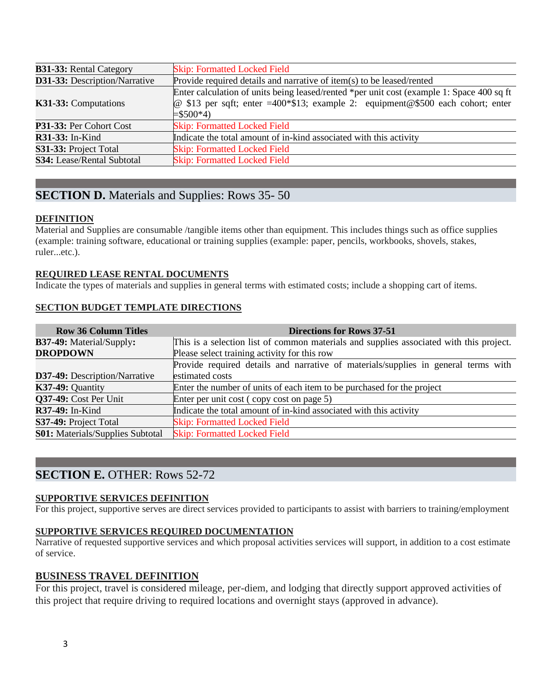| <b>B31-33: Rental Category</b>                                                                                | <b>Skip: Formatted Locked Field</b>                                                                                                                                                                         |  |  |  |  |  |
|---------------------------------------------------------------------------------------------------------------|-------------------------------------------------------------------------------------------------------------------------------------------------------------------------------------------------------------|--|--|--|--|--|
| Provide required details and narrative of item(s) to be leased/rented<br><b>D31-33:</b> Description/Narrative |                                                                                                                                                                                                             |  |  |  |  |  |
| K31-33: Computations                                                                                          | Enter calculation of units being leased/rented *per unit cost (example 1: Space 400 sq ft)<br>$\omega$ \$13 per sqft; enter =400*\$13; example 2: equipment $\omega$ \$500 each cohort; enter<br>$= $500*4$ |  |  |  |  |  |
| P31-33: Per Cohort Cost                                                                                       | <b>Skip: Formatted Locked Field</b>                                                                                                                                                                         |  |  |  |  |  |
| <b>R31-33:</b> In-Kind                                                                                        | Indicate the total amount of in-kind associated with this activity                                                                                                                                          |  |  |  |  |  |
| S31-33: Project Total                                                                                         | <b>Skip: Formatted Locked Field</b>                                                                                                                                                                         |  |  |  |  |  |
| S34: Lease/Rental Subtotal                                                                                    | <b>Skip: Formatted Locked Field</b>                                                                                                                                                                         |  |  |  |  |  |

# **SECTION D.** Materials and Supplies: Rows 35-50

## **DEFINITION**

Material and Supplies are consumable /tangible items other than equipment. This includes things such as office supplies (example: training software, educational or training supplies (example: paper, pencils, workbooks, shovels, stakes, ruler...etc.).

## **REQUIRED LEASE RENTAL DOCUMENTS**

Indicate the types of materials and supplies in general terms with estimated costs; include a shopping cart of items.

### **SECTION BUDGET TEMPLATE DIRECTIONS**

| <b>Row 36 Column Titles</b>                             | <b>Directions for Rows 37-51</b>                                                        |  |  |  |  |  |  |  |
|---------------------------------------------------------|-----------------------------------------------------------------------------------------|--|--|--|--|--|--|--|
| <b>B37-49:</b> Material/Supply:                         | This is a selection list of common materials and supplies associated with this project. |  |  |  |  |  |  |  |
| <b>DROPDOWN</b>                                         | Please select training activity for this row                                            |  |  |  |  |  |  |  |
|                                                         | Provide required details and narrative of materials/supplies in general terms with      |  |  |  |  |  |  |  |
| estimated costs<br><b>D37-49:</b> Description/Narrative |                                                                                         |  |  |  |  |  |  |  |
| K37-49: Quantity                                        | Enter the number of units of each item to be purchased for the project                  |  |  |  |  |  |  |  |
| Q37-49: Cost Per Unit                                   | Enter per unit cost (copy cost on page 5)                                               |  |  |  |  |  |  |  |
| <b>R37-49:</b> In-Kind                                  | Indicate the total amount of in-kind associated with this activity                      |  |  |  |  |  |  |  |
| S37-49: Project Total                                   | <b>Skip: Formatted Locked Field</b>                                                     |  |  |  |  |  |  |  |
| <b>S01:</b> Materials/Supplies Subtotal                 | <b>Skip: Formatted Locked Field</b>                                                     |  |  |  |  |  |  |  |

# **SECTION E.** OTHER: Rows 52-72

### **SUPPORTIVE SERVICES DEFINITION**

For this project, supportive serves are direct services provided to participants to assist with barriers to training/employment

### **SUPPORTIVE SERVICES REQUIRED DOCUMENTATION**

Narrative of requested supportive services and which proposal activities services will support, in addition to a cost estimate of service.

# **BUSINESS TRAVEL DEFINITION**

For this project, travel is considered mileage, per-diem, and lodging that directly support approved activities of this project that require driving to required locations and overnight stays (approved in advance).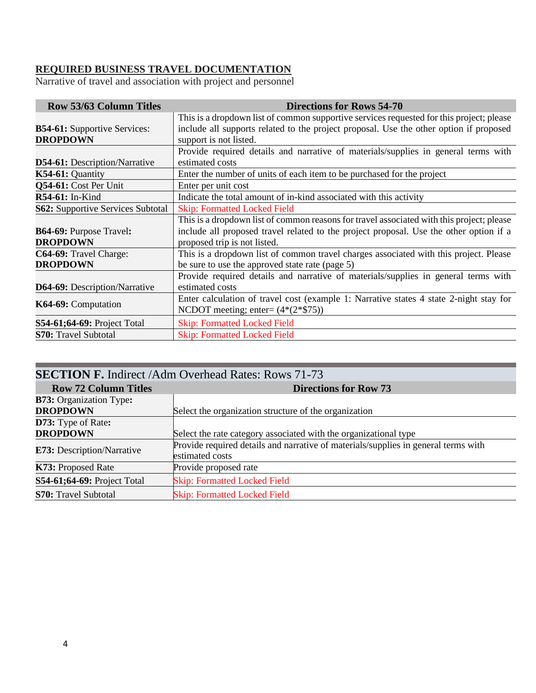# **REQUIRED BUSINESS TRAVEL DOCUMENTATION**

Narrative of travel and association with project and personnel

| <b>Row 53/63 Column Titles</b>                         | <b>Directions for Rows 54-70</b>                                                                                                                                                                                    |  |  |  |  |  |  |
|--------------------------------------------------------|---------------------------------------------------------------------------------------------------------------------------------------------------------------------------------------------------------------------|--|--|--|--|--|--|
| <b>B54-61:</b> Supportive Services:<br><b>DROPDOWN</b> | This is a dropdown list of common supportive services requested for this project; please<br>include all supports related to the project proposal. Use the other option if proposed<br>support is not listed.        |  |  |  |  |  |  |
| <b>D54-61:</b> Description/Narrative                   | Provide required details and narrative of materials/supplies in general terms with<br>estimated costs                                                                                                               |  |  |  |  |  |  |
| $K54-61:$ Quantity                                     | Enter the number of units of each item to be purchased for the project                                                                                                                                              |  |  |  |  |  |  |
| Q54-61: Cost Per Unit                                  | Enter per unit cost                                                                                                                                                                                                 |  |  |  |  |  |  |
| $R54-61$ : In-Kind                                     | Indicate the total amount of in-kind associated with this activity                                                                                                                                                  |  |  |  |  |  |  |
| <b>S62:</b> Supportive Services Subtotal               | <b>Skip: Formatted Locked Field</b>                                                                                                                                                                                 |  |  |  |  |  |  |
| <b>B64-69: Purpose Travel:</b><br><b>DROPDOWN</b>      | This is a dropdown list of common reasons for travel associated with this project; please<br>include all proposed travel related to the project proposal. Use the other option if a<br>proposed trip is not listed. |  |  |  |  |  |  |
| C64-69: Travel Charge:<br><b>DROPDOWN</b>              | This is a dropdown list of common travel charges associated with this project. Please<br>be sure to use the approved state rate (page 5)                                                                            |  |  |  |  |  |  |
| <b>D64-69:</b> Description/Narrative                   | Provide required details and narrative of materials/supplies in general terms with<br>estimated costs                                                                                                               |  |  |  |  |  |  |
| K64-69: Computation                                    | Enter calculation of travel cost (example 1: Narrative states 4 state 2-night stay for<br>NCDOT meeting; enter= $(4*(2*\$75))$                                                                                      |  |  |  |  |  |  |
| <b>S54-61;64-69: Project Total</b>                     | <b>Skip: Formatted Locked Field</b>                                                                                                                                                                                 |  |  |  |  |  |  |
| <b>S70: Travel Subtotal</b>                            | <b>Skip: Formatted Locked Field</b>                                                                                                                                                                                 |  |  |  |  |  |  |

| <b>SECTION F. Indirect /Adm Overhead Rates: Rows 71-73</b> |                                                                                    |  |  |  |  |  |  |
|------------------------------------------------------------|------------------------------------------------------------------------------------|--|--|--|--|--|--|
| <b>Row 72 Column Titles</b>                                | <b>Directions for Row 73</b>                                                       |  |  |  |  |  |  |
| <b>B73:</b> Organization Type:                             |                                                                                    |  |  |  |  |  |  |
| <b>DROPDOWN</b>                                            | Select the organization structure of the organization                              |  |  |  |  |  |  |
| D73: Type of Rate:                                         |                                                                                    |  |  |  |  |  |  |
| <b>DROPDOWN</b>                                            | Select the rate category associated with the organizational type                   |  |  |  |  |  |  |
|                                                            | Provide required details and narrative of materials/supplies in general terms with |  |  |  |  |  |  |
| <b>E73:</b> Description/Narrative                          | estimated costs                                                                    |  |  |  |  |  |  |
| K73: Proposed Rate                                         | Provide proposed rate                                                              |  |  |  |  |  |  |
| S54-61;64-69: Project Total                                | <b>Skip: Formatted Locked Field</b>                                                |  |  |  |  |  |  |
| <b>S70:</b> Travel Subtotal                                | <b>Skip: Formatted Locked Field</b>                                                |  |  |  |  |  |  |